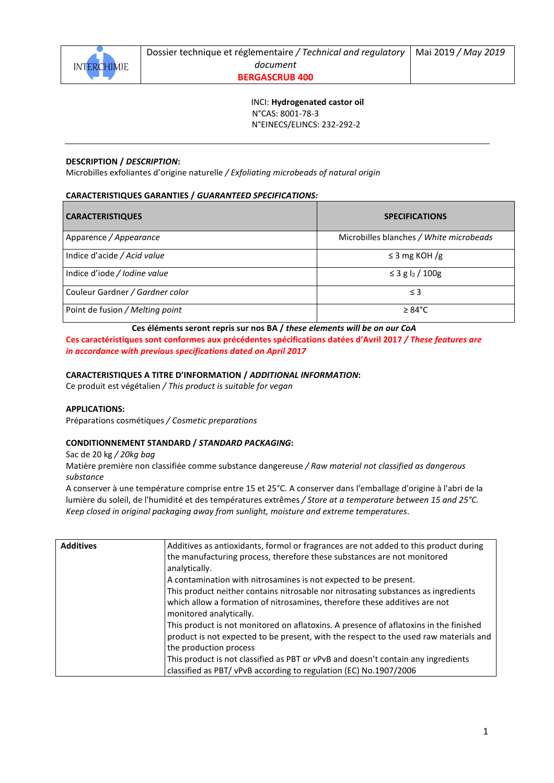

Dossier technique et réglementaire */ Technical and regulatory document*

**BERGASCRUB 400** 

 INCI: **Hydrogenated castor oil** N°CAS: 8001-78-3 N°EINECS/ELINCS: 232-292-2

## **DESCRIPTION /** *DESCRIPTION***:**

Microbilles exfoliantes d'origine naturelle */ Exfoliating microbeads of natural origin*

## **CARACTERISTIQUES GARANTIES /** *GUARANTEED SPECIFICATIONS:*

| <b>CARACTERISTIQUES</b>         | <b>SPECIFICATIONS</b>                   |
|---------------------------------|-----------------------------------------|
| Apparence / Appearance          | Microbilles blanches / White microbeads |
| Indice d'acide / Acid value     | $\leq$ 3 mg KOH /g                      |
| Indice d'iode / Iodine value    | ≤ 3 g l2 / 100g                         |
| Couleur Gardner / Gardner color | $\leq$ 3                                |
| Point de fusion / Melting point | $\geq 84^{\circ}$ C                     |

**Ces éléments seront repris sur nos BA /** *these elements will be on our CoA* 

**Ces caractéristiques sont conformes aux précédentes spécifications datées d'Avril 2017** */ These features are in accordance with previous specifications dated on April 2017* 

### **CARACTERISTIQUES A TITRE D'INFORMATION /** *ADDITIONAL INFORMATION***:**

Ce produit est végétalien */ This product is suitable for vegan*

### **APPLICATIONS:**

Préparations cosmétiques */ Cosmetic preparations*

### **CONDITIONNEMENT STANDARD /** *STANDARD PACKAGING***:**

Sac de 20 kg */ 20kg bag*

Matière première non classifiée comme substance dangereuse */ Raw material not classified as dangerous substance* 

A conserver à une température comprise entre 15 et 25°C. A conserver dans l'emballage d'origine à l'abri de la lumière du soleil, de l'humidité et des températures extrêmes */ Store at a temperature between 15 and 25°C. Keep closed in original packaging away from sunlight, moisture and extreme temperatures*.

| <b>Additives</b> | Additives as antioxidants, formol or fragrances are not added to this product during<br>the manufacturing process, therefore these substances are not monitored                                          |
|------------------|----------------------------------------------------------------------------------------------------------------------------------------------------------------------------------------------------------|
|                  | analytically.                                                                                                                                                                                            |
|                  | A contamination with nitrosamines is not expected to be present.                                                                                                                                         |
|                  | This product neither contains nitrosable nor nitrosating substances as ingredients                                                                                                                       |
|                  | which allow a formation of nitrosamines, therefore these additives are not<br>monitored analytically.                                                                                                    |
|                  | This product is not monitored on aflatoxins. A presence of aflatoxins in the finished<br>product is not expected to be present, with the respect to the used raw materials and<br>the production process |
|                  | This product is not classified as PBT or vPvB and doesn't contain any ingredients                                                                                                                        |
|                  | classified as PBT/vPvB according to regulation (EC) No.1907/2006                                                                                                                                         |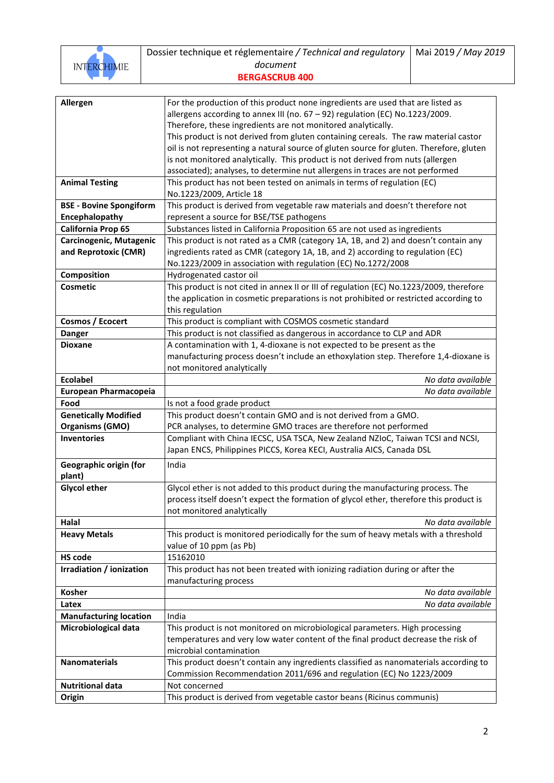

Dossier technique et réglementaire */ Technical and regulatory document* **BER** 

|  |  | <b>RGASCRUB 400</b> |  |
|--|--|---------------------|--|

| Allergen                          | For the production of this product none ingredients are used that are listed as         |
|-----------------------------------|-----------------------------------------------------------------------------------------|
|                                   | allergens according to annex III (no. 67 - 92) regulation (EC) No.1223/2009.            |
|                                   | Therefore, these ingredients are not monitored analytically.                            |
|                                   | This product is not derived from gluten containing cereals. The raw material castor     |
|                                   | oil is not representing a natural source of gluten source for gluten. Therefore, gluten |
|                                   | is not monitored analytically. This product is not derived from nuts (allergen          |
|                                   | associated); analyses, to determine nut allergens in traces are not performed           |
| <b>Animal Testing</b>             | This product has not been tested on animals in terms of regulation (EC)                 |
|                                   | No.1223/2009, Article 18                                                                |
| <b>BSE - Bovine Spongiform</b>    | This product is derived from vegetable raw materials and doesn't therefore not          |
| Encephalopathy                    | represent a source for BSE/TSE pathogens                                                |
| California Prop 65                | Substances listed in California Proposition 65 are not used as ingredients              |
| Carcinogenic, Mutagenic           | This product is not rated as a CMR (category 1A, 1B, and 2) and doesn't contain any     |
| and Reprotoxic (CMR)              | ingredients rated as CMR (category 1A, 1B, and 2) according to regulation (EC)          |
|                                   | No.1223/2009 in association with regulation (EC) No.1272/2008                           |
| Composition                       | Hydrogenated castor oil                                                                 |
| <b>Cosmetic</b>                   | This product is not cited in annex II or III of regulation (EC) No.1223/2009, therefore |
|                                   | the application in cosmetic preparations is not prohibited or restricted according to   |
|                                   | this regulation                                                                         |
| Cosmos / Ecocert                  | This product is compliant with COSMOS cosmetic standard                                 |
| <b>Danger</b>                     | This product is not classified as dangerous in accordance to CLP and ADR                |
| <b>Dioxane</b>                    | A contamination with 1, 4-dioxane is not expected to be present as the                  |
|                                   | manufacturing process doesn't include an ethoxylation step. Therefore 1,4-dioxane is    |
|                                   | not monitored analytically                                                              |
| <b>Ecolabel</b>                   | No data available                                                                       |
| European Pharmacopeia             | No data available                                                                       |
| Food                              | Is not a food grade product                                                             |
| <b>Genetically Modified</b>       | This product doesn't contain GMO and is not derived from a GMO.                         |
|                                   |                                                                                         |
|                                   |                                                                                         |
| <b>Organisms (GMO)</b>            | PCR analyses, to determine GMO traces are therefore not performed                       |
| <b>Inventories</b>                | Compliant with China IECSC, USA TSCA, New Zealand NZIoC, Taiwan TCSI and NCSI,          |
|                                   | Japan ENCS, Philippines PICCS, Korea KECI, Australia AICS, Canada DSL                   |
| Geographic origin (for            | India                                                                                   |
| plant)                            |                                                                                         |
| <b>Glycol ether</b>               | Glycol ether is not added to this product during the manufacturing process. The         |
|                                   | process itself doesn't expect the formation of glycol ether, therefore this product is  |
|                                   | not monitored analytically                                                              |
| Halal                             | No data available                                                                       |
| <b>Heavy Metals</b>               | This product is monitored periodically for the sum of heavy metals with a threshold     |
|                                   | value of 10 ppm (as Pb)                                                                 |
| <b>HS</b> code                    | 15162010                                                                                |
| Irradiation / ionization          | This product has not been treated with ionizing radiation during or after the           |
|                                   | manufacturing process                                                                   |
| Kosher                            | No data available                                                                       |
| Latex                             | No data available                                                                       |
| <b>Manufacturing location</b>     | India                                                                                   |
| Microbiological data              | This product is not monitored on microbiological parameters. High processing            |
|                                   | temperatures and very low water content of the final product decrease the risk of       |
|                                   | microbial contamination                                                                 |
| <b>Nanomaterials</b>              | This product doesn't contain any ingredients classified as nanomaterials according to   |
|                                   | Commission Recommendation 2011/696 and regulation (EC) No 1223/2009                     |
| <b>Nutritional data</b><br>Origin | Not concerned<br>This product is derived from vegetable castor beans (Ricinus communis) |